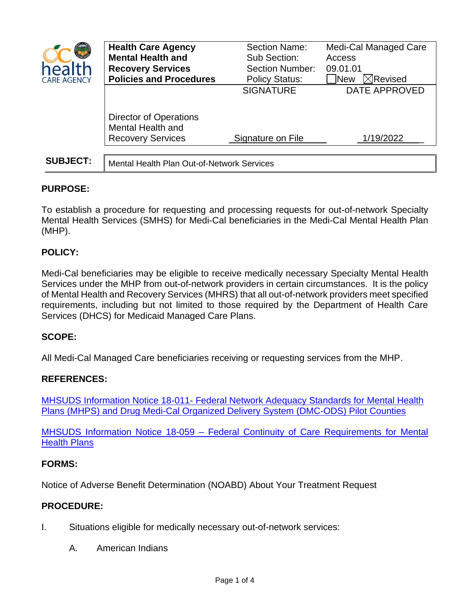

|                   | <b>Health Care Agency</b>                          | <b>Section Name:</b>   | Medi-Cal Managed Care             |
|-------------------|----------------------------------------------------|------------------------|-----------------------------------|
|                   | <b>Mental Health and</b>                           | Sub Section:           | Access                            |
| <b>nealth</b>     | <b>Recovery Services</b>                           | <b>Section Number:</b> | 09.01.01                          |
| <b>ARE AGENCY</b> | <b>Policies and Procedures</b>                     | <b>Policy Status:</b>  | $\boxtimes$ Revised<br><b>New</b> |
|                   |                                                    | <b>SIGNATURE</b>       | <b>DATE APPROVED</b>              |
|                   |                                                    |                        |                                   |
|                   | <b>Director of Operations</b><br>Mental Health and |                        |                                   |
|                   | <b>Recovery Services</b>                           | Signature on File      | 1/19/2022                         |
|                   |                                                    |                        |                                   |
| <b>SUBJECT:</b>   | Mental Health Plan Out-of-Network Services         |                        |                                   |

# **PURPOSE:**

To establish a procedure for requesting and processing requests for out-of-network Specialty Mental Health Services (SMHS) for Medi-Cal beneficiaries in the Medi-Cal Mental Health Plan (MHP).

# **POLICY:**

Medi-Cal beneficiaries may be eligible to receive medically necessary Specialty Mental Health Services under the MHP from out-of-network providers in certain circumstances. It is the policy of Mental Health and Recovery Services (MHRS) that all out-of-network providers meet specified requirements, including but not limited to those required by the Department of Health Care Services (DHCS) for Medicaid Managed Care Plans.

## **SCOPE:**

All Medi-Cal Managed Care beneficiaries receiving or requesting services from the MHP.

## **REFERENCES:**

MHSUDS Information Notice 18-011- [Federal Network Adequacy Standards for Mental Health](https://www.dhcs.ca.gov/services/MH/Documents/Information%20Notices/IN%2018-%20Network%20Adequacy/MHSUDS_IN_18-011_Network_Adequacy.pdf)  [Plans \(MHPS\) and Drug Medi-Cal Organized Delivery System \(DMC-ODS\) Pilot Counties](https://www.dhcs.ca.gov/services/MH/Documents/Information%20Notices/IN%2018-%20Network%20Adequacy/MHSUDS_IN_18-011_Network_Adequacy.pdf)

MHSUDS Information Notice 18-059 – [Federal Continuity of Care Requirements for Mental](https://www.dhcs.ca.gov/services/MH/Documents/Information%20Notices/IN_18-059_Continuity_of_Care/MHSUDS_Information_Notice_18-059_Continuity_of_Care.pdf)  [Health Plans](https://www.dhcs.ca.gov/services/MH/Documents/Information%20Notices/IN_18-059_Continuity_of_Care/MHSUDS_Information_Notice_18-059_Continuity_of_Care.pdf)

## **FORMS:**

Notice of Adverse Benefit Determination (NOABD) About Your Treatment Request

## **PROCEDURE:**

- I. Situations eligible for medically necessary out-of-network services:
	- A. American Indians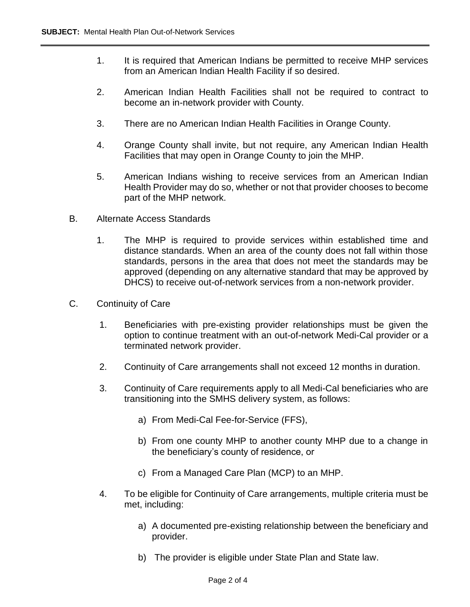- 1. It is required that American Indians be permitted to receive MHP services from an American Indian Health Facility if so desired.
- 2. American Indian Health Facilities shall not be required to contract to become an in-network provider with County.
- 3. There are no American Indian Health Facilities in Orange County.
- 4. Orange County shall invite, but not require, any American Indian Health Facilities that may open in Orange County to join the MHP.
- 5. American Indians wishing to receive services from an American Indian Health Provider may do so, whether or not that provider chooses to become part of the MHP network.
- B. Alternate Access Standards
	- 1. The MHP is required to provide services within established time and distance standards. When an area of the county does not fall within those standards, persons in the area that does not meet the standards may be approved (depending on any alternative standard that may be approved by DHCS) to receive out-of-network services from a non-network provider.
- C. Continuity of Care
	- 1. Beneficiaries with pre-existing provider relationships must be given the option to continue treatment with an out-of-network Medi-Cal provider or a terminated network provider.
	- 2. Continuity of Care arrangements shall not exceed 12 months in duration.
	- 3. Continuity of Care requirements apply to all Medi-Cal beneficiaries who are transitioning into the SMHS delivery system, as follows:
		- a) From Medi-Cal Fee-for-Service (FFS),
		- b) From one county MHP to another county MHP due to a change in the beneficiary's county of residence, or
		- c) From a Managed Care Plan (MCP) to an MHP.
	- 4. To be eligible for Continuity of Care arrangements, multiple criteria must be met, including:
		- a) A documented pre-existing relationship between the beneficiary and provider.
		- b) The provider is eligible under State Plan and State law.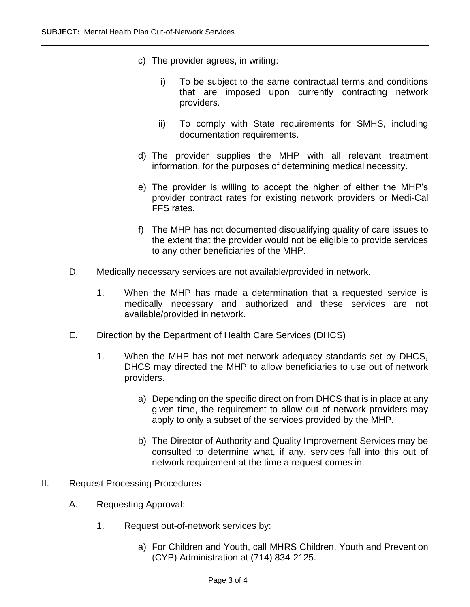- c) The provider agrees, in writing:
	- i) To be subject to the same contractual terms and conditions that are imposed upon currently contracting network providers.
	- ii) To comply with State requirements for SMHS, including documentation requirements.
- d) The provider supplies the MHP with all relevant treatment information, for the purposes of determining medical necessity.
- e) The provider is willing to accept the higher of either the MHP's provider contract rates for existing network providers or Medi-Cal FFS rates.
- f) The MHP has not documented disqualifying quality of care issues to the extent that the provider would not be eligible to provide services to any other beneficiaries of the MHP.
- D. Medically necessary services are not available/provided in network.
	- 1. When the MHP has made a determination that a requested service is medically necessary and authorized and these services are not available/provided in network.
- E. Direction by the Department of Health Care Services (DHCS)
	- 1. When the MHP has not met network adequacy standards set by DHCS, DHCS may directed the MHP to allow beneficiaries to use out of network providers.
		- a) Depending on the specific direction from DHCS that is in place at any given time, the requirement to allow out of network providers may apply to only a subset of the services provided by the MHP.
		- b) The Director of Authority and Quality Improvement Services may be consulted to determine what, if any, services fall into this out of network requirement at the time a request comes in.
- II. Request Processing Procedures
	- A. Requesting Approval:
		- 1. Request out-of-network services by:
			- a) For Children and Youth, call MHRS Children, Youth and Prevention (CYP) Administration at (714) 834-2125.